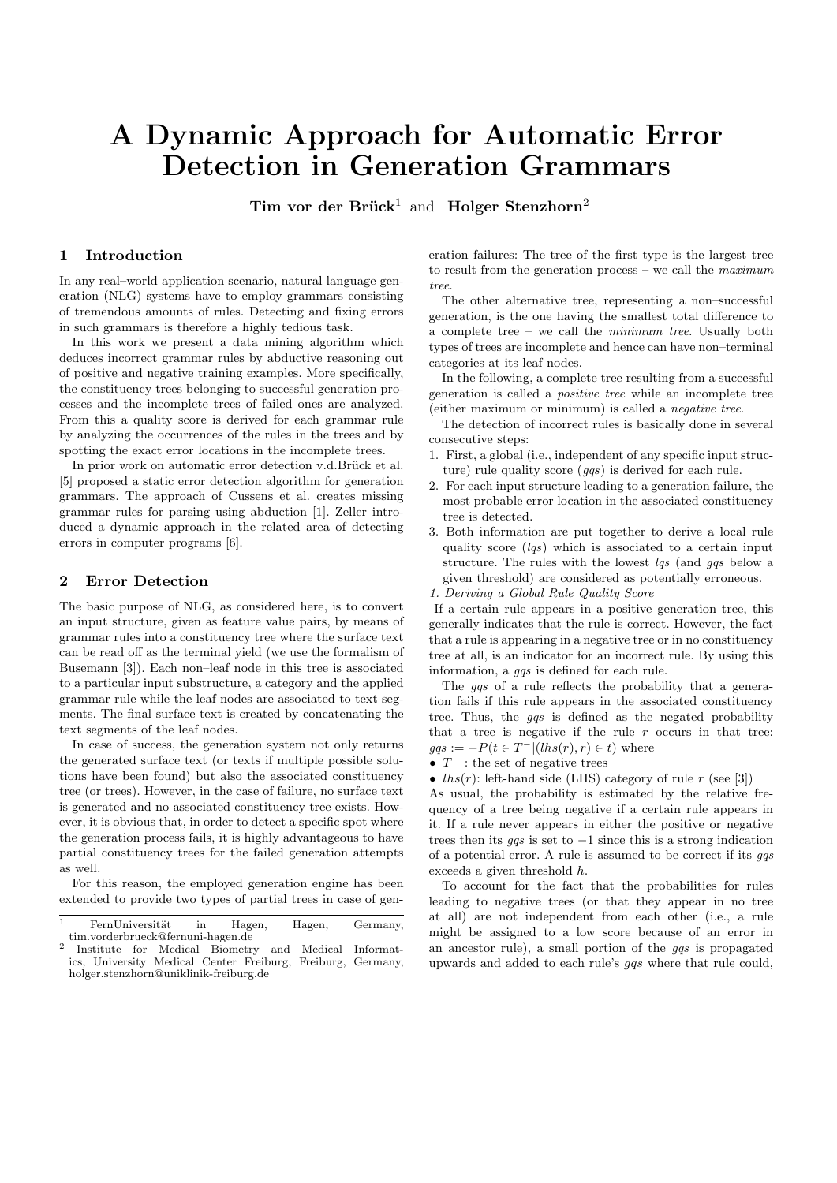# A Dynamic Approach for Automatic Error Detection in Generation Grammars

Tim vor der Brück<sup>1</sup> and Holger Stenzhorn<sup>2</sup>

## 1 Introduction

In any real–world application scenario, natural language generation (NLG) systems have to employ grammars consisting of tremendous amounts of rules. Detecting and fixing errors in such grammars is therefore a highly tedious task.

In this work we present a data mining algorithm which deduces incorrect grammar rules by abductive reasoning out of positive and negative training examples. More specifically, the constituency trees belonging to successful generation processes and the incomplete trees of failed ones are analyzed. From this a quality score is derived for each grammar rule by analyzing the occurrences of the rules in the trees and by spotting the exact error locations in the incomplete trees.

In prior work on automatic error detection v.d.Brück et al. [5] proposed a static error detection algorithm for generation grammars. The approach of Cussens et al. creates missing grammar rules for parsing using abduction [1]. Zeller introduced a dynamic approach in the related area of detecting errors in computer programs [6].

## 2 Error Detection

The basic purpose of NLG, as considered here, is to convert an input structure, given as feature value pairs, by means of grammar rules into a constituency tree where the surface text can be read off as the terminal yield (we use the formalism of Busemann [3]). Each non–leaf node in this tree is associated to a particular input substructure, a category and the applied grammar rule while the leaf nodes are associated to text segments. The final surface text is created by concatenating the text segments of the leaf nodes.

In case of success, the generation system not only returns the generated surface text (or texts if multiple possible solutions have been found) but also the associated constituency tree (or trees). However, in the case of failure, no surface text is generated and no associated constituency tree exists. However, it is obvious that, in order to detect a specific spot where the generation process fails, it is highly advantageous to have partial constituency trees for the failed generation attempts as well.

For this reason, the employed generation engine has been extended to provide two types of partial trees in case of generation failures: The tree of the first type is the largest tree to result from the generation process – we call the  $maximum$ tree.

The other alternative tree, representing a non–successful generation, is the one having the smallest total difference to a complete tree – we call the minimum tree. Usually both types of trees are incomplete and hence can have non–terminal categories at its leaf nodes.

In the following, a complete tree resulting from a successful generation is called a positive tree while an incomplete tree (either maximum or minimum) is called a negative tree.

The detection of incorrect rules is basically done in several consecutive steps:

- 1. First, a global (i.e., independent of any specific input structure) rule quality score  $(qqs)$  is derived for each rule.
- 2. For each input structure leading to a generation failure, the most probable error location in the associated constituency tree is detected.
- 3. Both information are put together to derive a local rule quality score  $(lgs)$  which is associated to a certain input structure. The rules with the lowest *las* (and *gas* below a given threshold) are considered as potentially erroneous.

1. Deriving a Global Rule Quality Score

If a certain rule appears in a positive generation tree, this generally indicates that the rule is correct. However, the fact that a rule is appearing in a negative tree or in no constituency tree at all, is an indicator for an incorrect rule. By using this information, a *ggs* is defined for each rule.

The *ggs* of a rule reflects the probability that a generation fails if this rule appears in the associated constituency tree. Thus, the *qqs* is defined as the negated probability that a tree is negative if the rule  $r$  occurs in that tree:  $gqs := -P(t \in T^{-} |(lhs(r), r) \in t)$  where

•  $T^-$ : the set of negative trees

•  $lhs(r)$ : left-hand side (LHS) category of rule r (see [3])

As usual, the probability is estimated by the relative frequency of a tree being negative if a certain rule appears in it. If a rule never appears in either the positive or negative trees then its *gas* is set to  $-1$  since this is a strong indication of a potential error. A rule is assumed to be correct if its  $qqs$ exceeds a given threshold h.

To account for the fact that the probabilities for rules leading to negative trees (or that they appear in no tree at all) are not independent from each other (i.e., a rule might be assigned to a low score because of an error in an ancestor rule), a small portion of the gqs is propagated upwards and added to each rule's gqs where that rule could,

 $\frac{1}{1}$  FernUniversität in Hagen, Hagen, Germany, tim.vorderbrueck@fernuni-hagen.de 2

Institute for Medical Biometry and Medical Informatics, University Medical Center Freiburg, Freiburg, Germany, holger.stenzhorn@uniklinik-freiburg.de